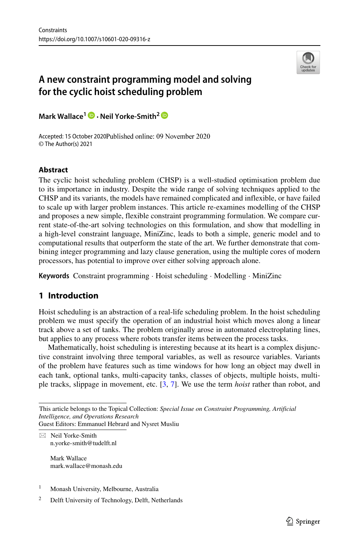

# **A new constraint programming model and solving for the cyclic hoist scheduling problem**

**Mark Wallace<sup>1</sup> ·Neil Yorke-Smith<sup>2</sup>**

Accepted: 15 October 2020Published online: 09 November 2020 © The Author(s) 2021

# **Abstract**

The cyclic hoist scheduling problem (CHSP) is a well-studied optimisation problem due to its importance in industry. Despite the wide range of solving techniques applied to the CHSP and its variants, the models have remained complicated and inflexible, or have failed to scale up with larger problem instances. This article re-examines modelling of the CHSP and proposes a new simple, flexible constraint programming formulation. We compare current state-of-the-art solving technologies on this formulation, and show that modelling in a high-level constraint language, MiniZinc, leads to both a simple, generic model and to computational results that outperform the state of the art. We further demonstrate that combining integer programming and lazy clause generation, using the multiple cores of modern processors, has potential to improve over either solving approach alone.

**Keywords** Constraint programming · Hoist scheduling · Modelling · MiniZinc

# **1 Introduction**

Hoist scheduling is an abstraction of a real-life scheduling problem. In the hoist scheduling problem we must specify the operation of an industrial hoist which moves along a linear track above a set of tanks. The problem originally arose in automated electroplating lines, but applies to any process where robots transfer items between the process tasks.

Mathematically, hoist scheduling is interesting because at its heart is a complex disjunctive constraint involving three temporal variables, as well as resource variables. Variants of the problem have features such as time windows for how long an object may dwell in each tank, optional tanks, multi-capacity tanks, classes of objects, multiple hoists, multiple tracks, slippage in movement, etc. [\[3,](#page-17-0) [7\]](#page-17-1). We use the term *hoist* rather than robot, and

Mark Wallace [mark.wallace@monash.edu](mailto: mark.wallace@monash.edu)

<sup>1</sup> Monash University, Melbourne, Australia

This article belongs to the Topical Collection: *Special Issue on Constraint Programming, Artificial Intelligence, and Operations Research* Guest Editors: Emmanuel Hebrard and Nysret Musliu

<sup>-</sup> Neil Yorke-Smith [n.yorke-smith@tudelft.nl](mailto: n.yorke-smith@tudelft.nl)

<sup>2</sup> Delft University of Technology, Delft, Netherlands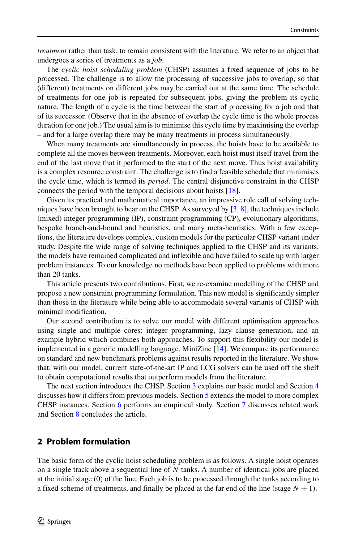*treatment* rather than task, to remain consistent with the literature. We refer to an object that undergoes a series of treatments as a *job*.

The *cyclic hoist scheduling problem* (CHSP) assumes a fixed sequence of jobs to be processed. The challenge is to allow the processing of successive jobs to overlap, so that (different) treatments on different jobs may be carried out at the same time. The schedule of treatments for one job is repeated for subsequent jobs, giving the problem its cyclic nature. The length of a cycle is the time between the start of processing for a job and that of its successor. (Observe that in the absence of overlap the cycle time is the whole process duration for one job.) The usual aim is to minimise this cycle time by maximising the overlap – and for a large overlap there may be many treatments in process simultaneously.

When many treatments are simultaneously in process, the hoists have to be available to complete all the moves between treatments. Moreover, each hoist must itself travel from the end of the last move that it performed to the start of the next move. Thus hoist availability is a complex resource constraint. The challenge is to find a feasible schedule that minimises the cycle time, which is termed its *period*. The central disjunctive constraint in the CHSP connects the period with the temporal decisions about hoists [\[18\]](#page-18-0).

Given its practical and mathematical importance, an impressive role call of solving techniques have been brought to bear on the CHSP. As surveyed by [\[3,](#page-17-0) [8\]](#page-18-1), the techniques include (mixed) integer programming (IP), constraint programming (CP), evolutionary algorithms, bespoke branch-and-bound and heuristics, and many meta-heuristics. With a few exceptions, the literature develops complex, custom models for the particular CHSP variant under study. Despite the wide range of solving techniques applied to the CHSP and its variants, the models have remained complicated and inflexible and have failed to scale up with larger problem instances. To our knowledge no methods have been applied to problems with more than 20 tanks.

This article presents two contributions. First, we re-examine modelling of the CHSP and propose a new constraint programming formulation. This new model is significantly simpler than those in the literature while being able to accommodate several variants of CHSP with minimal modification.

Our second contribution is to solve our model with different optimisation approaches using single and multiple cores: integer programming, lazy clause generation, and an example hybrid which combines both approaches. To support this flexibility our model is implemented in a generic modelling language, MiniZinc [\[14\]](#page-18-2). We compare its performance on standard and new benchmark problems against results reported in the literature. We show that, with our model, current state-of-the-art IP and LCG solvers can be used off the shelf to obtain computational results that outperform models from the literature.

The next section introduces the CHSP. Section [3](#page-3-0) explains our basic model and Section [4](#page-5-0) discusses how it differs from previous models. Section [5](#page-6-0) extends the model to more complex CHSP instances. Section [6](#page-9-0) performs an empirical study. Section [7](#page-16-0) discusses related work and Section [8](#page-16-1) concludes the article.

# <span id="page-1-0"></span>**2 Problem formulation**

The basic form of the cyclic hoist scheduling problem is as follows. A single hoist operates on a single track above a sequential line of *N* tanks. A number of identical jobs are placed at the initial stage (0) of the line. Each job is to be processed through the tanks according to a fixed scheme of treatments, and finally be placed at the far end of the line (stage  $N + 1$ ).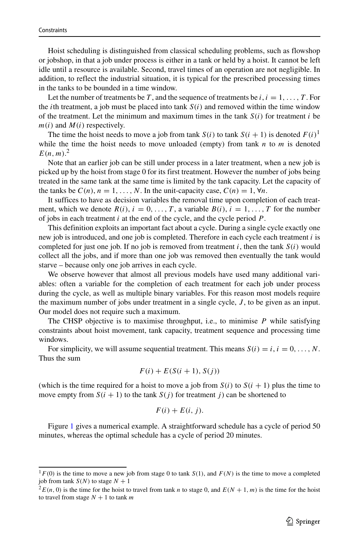Hoist scheduling is distinguished from classical scheduling problems, such as flowshop or jobshop, in that a job under process is either in a tank or held by a hoist. It cannot be left idle until a resource is available. Second, travel times of an operation are not negligible. In addition, to reflect the industrial situation, it is typical for the prescribed processing times in the tanks to be bounded in a time window.

Let the number of treatments be  $T$ , and the sequence of treatments be  $i, i = 1, \ldots, T$ . For the *i*th treatment, a job must be placed into tank  $S(i)$  and removed within the time window of the treatment. Let the minimum and maximum times in the tank  $S(i)$  for treatment *i* be  $m(i)$  and  $M(i)$  respectively.

The time the hoist needs to move a job from tank  $S(i)$  to tank  $S(i + 1)$  $S(i + 1)$  $S(i + 1)$  is denoted  $F(i)^{1}$ while the time the hoist needs to move unloaded (empty) from tank *n* to *m* is denoted *E(n, m)*. [2](#page-2-1)

Note that an earlier job can be still under process in a later treatment, when a new job is picked up by the hoist from stage 0 for its first treatment. However the number of jobs being treated in the same tank at the same time is limited by the tank capacity. Let the capacity of the tanks be  $C(n)$ ,  $n = 1, \ldots, N$ . In the unit-capacity case,  $C(n) = 1$ ,  $\forall n$ .

It suffices to have as decision variables the removal time upon completion of each treatment, which we denote  $R(i)$ ,  $i = 0, \ldots, T$ , a variable  $B(i)$ ,  $i = 1, \ldots, T$  for the number of jobs in each treatment *i* at the end of the cycle, and the cycle period *P*.

This definition exploits an important fact about a cycle. During a single cycle exactly one new job is introduced, and one job is completed. Therefore in each cycle each treatment *i* is completed for just one job. If no job is removed from treatment *i*, then the tank *S(i)* would collect all the jobs, and if more than one job was removed then eventually the tank would starve – because only one job arrives in each cycle.

We observe however that almost all previous models have used many additional variables: often a variable for the completion of each treatment for each job under process during the cycle, as well as multiple binary variables. For this reason most models require the maximum number of jobs under treatment in a single cycle, *J* , to be given as an input. Our model does not require such a maximum.

The CHSP objective is to maximise throughput, i.e., to minimise *P* while satisfying constraints about hoist movement, tank capacity, treatment sequence and processing time windows.

For simplicity, we will assume sequential treatment. This means  $S(i) = i$ ,  $i = 0, \ldots, N$ . Thus the sum

$$
F(i) + E(S(i + 1), S(j))
$$

(which is the time required for a hoist to move a job from  $S(i)$  to  $S(i + 1)$  plus the time to move empty from  $S(i + 1)$  to the tank  $S(j)$  for treatment *j*) can be shortened to

$$
F(i) + E(i, j).
$$

Figure [1](#page-3-1) gives a numerical example. A straightforward schedule has a cycle of period 50 minutes, whereas the optimal schedule has a cycle of period 20 minutes.

<span id="page-2-0"></span> ${}^{1}F(0)$  is the time to move a new job from stage 0 to tank  $S(1)$ , and  $F(N)$  is the time to move a completed job from tank *S(N)* to stage *N* + 1<br> ${}^{2}E(n, 0)$  is the time for the hoist to travel from tank *n* to stage 0, and  $E(N + 1, m)$  is the time for the hoist

<span id="page-2-1"></span>to travel from stage  $N + 1$  to tank *m*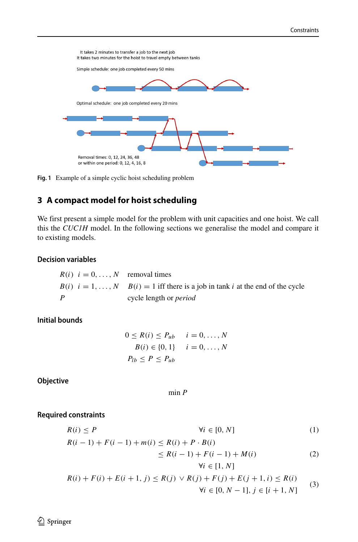<span id="page-3-1"></span>

**Fig. 1** Example of a simple cyclic hoist scheduling problem

# <span id="page-3-0"></span>**3 A compact model for hoist scheduling**

We first present a simple model for the problem with unit capacities and one hoist. We call this the *CUC1H* model. In the following sections we generalise the model and compare it to existing models.

# **Decision variables**

| $R(i)$ $i = 0, \ldots, N$ removal times |                                                                                     |
|-----------------------------------------|-------------------------------------------------------------------------------------|
|                                         | $B(i)$ $i = 1, , N$ $B(i) = 1$ iff there is a job in tank i at the end of the cycle |
| P                                       | cycle length or <i>period</i>                                                       |

# **Initial bounds**

$$
0 \le R(i) \le P_{ub} \quad i = 0, ..., N
$$
  

$$
B(i) \in \{0, 1\} \quad i = 0, ..., N
$$
  

$$
P_{lb} \le P \le P_{ub}
$$

**Objective**

min *P*

# **Required constraints**

<span id="page-3-2"></span>
$$
R(i) \le P \qquad \qquad \forall i \in [0, N] \tag{1}
$$

$$
R(i - 1) + F(i - 1) + m(i) \le R(i) + P \cdot B(i)
$$
  
\n
$$
\le R(i - 1) + F(i - 1) + M(i)
$$
  
\n
$$
\forall i \in [1, N]
$$
 (2)

$$
R(i) + F(i) + E(i + 1, j) \le R(j) \lor R(j) + F(j) + E(j + 1, i) \le R(i)
$$
  
\n
$$
\forall i \in [0, N - 1], j \in [i + 1, N]
$$
 (3)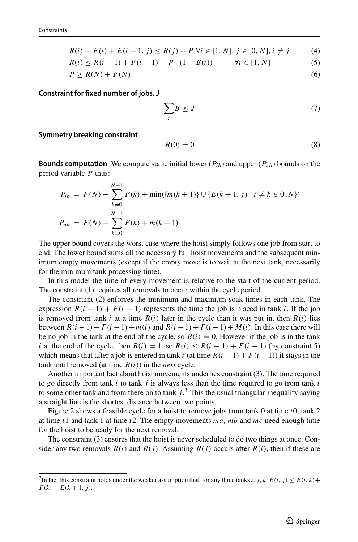<span id="page-4-0"></span>
$$
R(i) + F(i) + E(i + 1, j) \le R(j) + P \,\forall i \in [1, N], j \in [0, N], i \ne j \tag{4}
$$

$$
R(i) \le R(i-1) + F(i-1) + P \cdot (1 - B(i)) \qquad \forall i \in [1, N] \tag{5}
$$

$$
P \ge R(N) + F(N) \tag{6}
$$

**Constraint for fixed number of jobs, <sup>J</sup>**

<span id="page-4-2"></span>
$$
\sum_{i} B \le J \tag{7}
$$

#### **Symmetry breaking constraint**

<span id="page-4-3"></span>
$$
R(0) = 0 \tag{8}
$$

**Bounds computation** We compute static initial lower  $(P_{lb})$  and upper  $(P_{ub})$  bounds on the period variable *P* thus:

$$
P_{lb} = F(N) + \sum_{k=0}^{N-1} F(k) + \min(\{m(k+1)\} \cup \{E(k+1, j) \mid j \neq k \in 0..N\})
$$
  

$$
P_{ub} = F(N) + \sum_{k=0}^{N-1} F(k) + m(k+1)
$$

The upper bound covers the worst case where the hoist simply follows one job from start to end. The lower bound sums all the necessary full hoist movements and the subsequent minimum empty movements (except if the empty move is to wait at the next tank, necessarily for the minimum tank processing time).

In this model the time of every movement is relative to the start of the current period. The constraint [\(1\)](#page-3-2) requires all removals to occur within the cycle period.

The constraint [\(2\)](#page-3-2) enforces the minimum and maximum soak times in each tank. The expression  $R(i - 1) + F(i - 1)$  represents the time the job is placed in tank *i*. If the job is removed from tank *i* at a time  $R(i)$  later in the cycle than it was put in, then  $R(i)$  lies between  $R(i − 1) + F(i − 1) + m(i)$  and  $R(i − 1) + F(i − 1) + M(i)$ . In this case there will be no job in the tank at the end of the cycle, so  $B(i) = 0$ . However if the job is in the tank *i* at the end of the cycle, then  $B(i) = 1$ , so  $R(i) \leq R(i-1) + F(i-1)$  (by constraint [5\)](#page-4-0) which means that after a job is entered in tank *i* (at time  $R(i - 1) + F(i - 1)$ ) it stays in the tank until removed (at time  $R(i)$ ) in the *next* cycle.

Another important fact about hoist movements underlies constraint [\(3\)](#page-3-2). The time required to go directly from tank *i* to tank *j* is always less than the time required to go from tank *i* to some other tank and from there on to tank  $j$ <sup>[3](#page-4-1)</sup>. This the usual triangular inequality saying a straight line is the shortest distance between two points.

Figure [2](#page-5-1) shows a feasible cycle for a hoist to remove jobs from tank 0 at time *t*0, tank 2 at time *t*1 and tank 1 at time *t*2. The empty movements *ma*, *mb* and *mc* need enough time for the hoist to be ready for the next removal.

The constraint [\(3\)](#page-3-2) ensures that the hoist is never scheduled to do two things at once. Consider any two removals  $R(i)$  and  $R(j)$ . Assuming  $R(j)$  occurs after  $R(i)$ , then if these are

<span id="page-4-1"></span><sup>&</sup>lt;sup>3</sup>In fact this constraint holds under the weaker assumption that, for any three tanks *i*, *j*, *k*,  $E(i, j) \leq E(i, k)$ +  $F(k) + E(k+1, j).$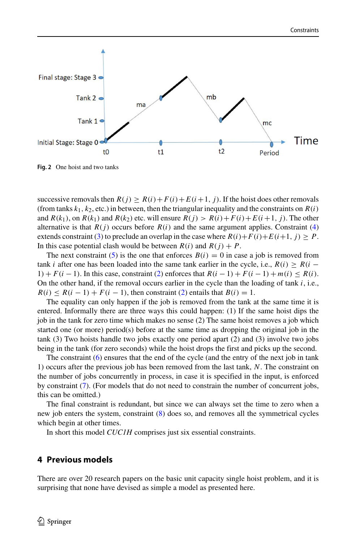<span id="page-5-1"></span>

**Fig. 2** One hoist and two tanks

successive removals then  $R(j) \geq R(i) + F(i) + E(i+1, j)$ . If the hoist does other removals (from tanks  $k_1, k_2$ , etc.) in between, then the triangular inequality and the constraints on  $R(i)$ and  $R(k_1)$ , on  $R(k_1)$  and  $R(k_2)$  etc. will ensure  $R(j) > R(i) + F(i) + E(i+1, j)$ . The other alternative is that  $R(j)$  occurs before  $R(i)$  and the same argument applies. Constraint [\(4\)](#page-4-0) extends constraint [\(3\)](#page-3-2) to preclude an overlap in the case where  $R(i) + F(i) + E(i+1, j) \geq P$ . In this case potential clash would be between  $R(i)$  and  $R(j) + P$ .

The next constraint [\(5\)](#page-4-0) is the one that enforces  $B(i) = 0$  in case a job is removed from tank *i* after one has been loaded into the same tank earlier in the cycle, i.e.,  $R(i) \geq R(i -$ 1) +  $F(i-1)$ . In this case, constraint [\(2\)](#page-3-2) enforces that  $R(i-1) + F(i-1) + m(i) ≤ R(i)$ . On the other hand, if the removal occurs earlier in the cycle than the loading of tank *i*, i.e.,  $R(i) \leq R(i-1) + F(i-1)$ , then constraint [\(2\)](#page-3-2) entails that  $B(i) = 1$ .

The equality can only happen if the job is removed from the tank at the same time it is entered. Informally there are three ways this could happen: (1) If the same hoist dips the job in the tank for zero time which makes no sense (2) The same hoist removes a job which started one (or more) period(s) before at the same time as dropping the original job in the tank (3) Two hoists handle two jobs exactly one period apart (2) and (3) involve two jobs being in the tank (for zero seconds) while the hoist drops the first and picks up the second.

The constraint [\(6\)](#page-4-0) ensures that the end of the cycle (and the entry of the next job in tank 1) occurs after the previous job has been removed from the last tank, *N*. The constraint on the number of jobs concurrently in process, in case it is specified in the input, is enforced by constraint [\(7\)](#page-4-2). (For models that do not need to constrain the number of concurrent jobs, this can be omitted.)

The final constraint is redundant, but since we can always set the time to zero when a new job enters the system, constraint [\(8\)](#page-4-3) does so, and removes all the symmetrical cycles which begin at other times.

In short this model *CUC1H* comprises just six essential constraints.

# <span id="page-5-0"></span>**4 Previous models**

There are over 20 research papers on the basic unit capacity single hoist problem, and it is surprising that none have devised as simple a model as presented here.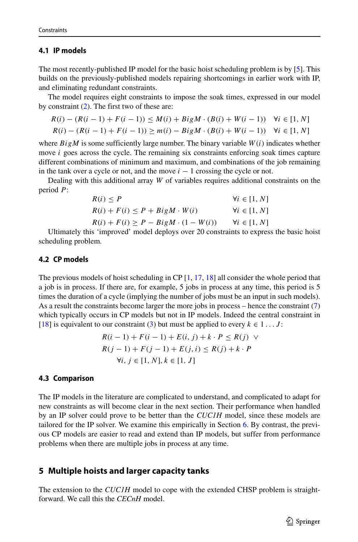#### **4.1 IP models**

The most recently-published IP model for the basic hoist scheduling problem is by [\[5\]](#page-17-2). This builds on the previously-published models repairing shortcomings in earlier work with IP, and eliminating redundant constraints.

The model requires eight constraints to impose the soak times, expressed in our model by constraint [\(2\)](#page-3-2). The first two of these are:

$$
R(i) - (R(i-1) + F(i-1)) \le M(i) + BigM \cdot (B(i) + W(i-1)) \quad \forall i \in [1, N]
$$
  

$$
R(i) - (R(i-1) + F(i-1)) \ge m(i) - BigM \cdot (B(i) + W(i-1)) \quad \forall i \in [1, N]
$$

where  $BigM$  is some sufficiently large number. The binary variable  $W(i)$  indicates whether move *i* goes across the cycle. The remaining six constraints enforcing soak times capture different combinations of minimum and maximum, and combinations of the job remaining in the tank over a cycle or not, and the move  $i - 1$  crossing the cycle or not.

Dealing with this additional array *W* of variables requires additional constraints on the period *P*:

| R(i) < P                                    | $\forall i \in [1, N]$ |
|---------------------------------------------|------------------------|
| $R(i) + F(i) \leq P + BigM \cdot W(i)$      | $\forall i \in [1, N]$ |
| $R(i) + F(i) \ge P - BigM \cdot (1 - W(i))$ | $\forall i \in [1, N]$ |

Ultimately this 'improved' model deploys over 20 constraints to express the basic hoist scheduling problem.

## **4.2 CP models**

The previous models of hoist scheduling in CP  $[1, 17, 18]$  $[1, 17, 18]$  $[1, 17, 18]$  $[1, 17, 18]$  $[1, 17, 18]$  all consider the whole period that a job is in process. If there are, for example, 5 jobs in process at any time, this period is 5 times the duration of a cycle (implying the number of jobs must be an input in such models). As a result the constraints become larger the more jobs in process – hence the constraint [\(7\)](#page-4-2) which typically occurs in CP models but not in IP models. Indeed the central constraint in [\[18\]](#page-18-0) is equivalent to our constraint [\(3\)](#page-3-2) but must be applied to every  $k \in 1 \ldots J$ :

$$
R(i - 1) + F(i - 1) + E(i, j) + k \cdot P \le R(j) \lor R(j - 1) + F(j - 1) + E(j, i) \le R(j) + k \cdot P
$$
  

$$
\forall i, j \in [1, N], k \in [1, J]
$$

## **4.3 Comparison**

The IP models in the literature are complicated to understand, and complicated to adapt for new constraints as will become clear in the next section. Their performance when handled by an IP solver could prove to be better than the *CUC1H* model, since these models are tailored for the IP solver. We examine this empirically in Section [6.](#page-9-0) By contrast, the previous CP models are easier to read and extend than IP models, but suffer from performance problems when there are multiple jobs in process at any time.

# <span id="page-6-0"></span>**5 Multiple hoists and larger capacity tanks**

The extension to the *CUC1H* model to cope with the extended CHSP problem is straightforward. We call this the *CECnH* model.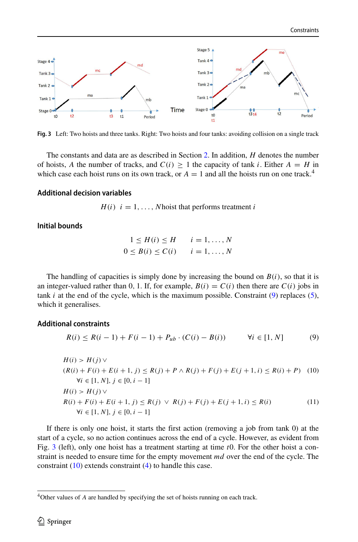<span id="page-7-2"></span>

**Fig. 3** Left: Two hoists and three tanks. Right: Two hoists and four tanks: avoiding collision on a single track

The constants and data are as described in Section [2.](#page-1-0) In addition, *H* denotes the number of hoists, *A* the number of tracks, and  $C(i) \geq 1$  the capacity of tank *i*. Either  $A = H$  in which case each hoist runs on its own track, or  $A = 1$  and all the hoists run on one track.<sup>4</sup>

#### **Additional decision variables**

 $H(i)$   $i = 1, \ldots, N$  hoist that performs treatment *i* 

#### **Initial bounds**

$$
1 \le H(i) \le H \qquad i = 1, ..., N
$$
  

$$
0 \le B(i) \le C(i) \qquad i = 1, ..., N
$$

The handling of capacities is simply done by increasing the bound on  $B(i)$ , so that it is an integer-valued rather than 0, 1. If, for example,  $B(i) = C(i)$  then there are  $C(i)$  jobs in tank  $i$  at the end of the cycle, which is the maximum possible. Constraint  $(9)$  replaces  $(5)$ , which it generalises.

#### **Additional constraints**

<span id="page-7-1"></span>
$$
R(i) \le R(i-1) + F(i-1) + P_{ub} \cdot (C(i) - B(i)) \qquad \forall i \in [1, N] \tag{9}
$$

<span id="page-7-3"></span> $H(i) > H(i)$  ∨  $(R(i) + F(i) + E(i + 1, j) \leq R(j) + P \wedge R(j) + F(j) + E(j + 1, i) \leq R(i) + P$  (10)  $∀i ∈ [1, N], i ∈ [0, i - 1]$  $H(i) > H(j)$  ∨  $R(i) + F(i) + E(i + 1, j) \leq R(j) \vee R(j) + F(j) + E(j + 1, i) \leq R(i)$  $∀i ∈ [1, N], j ∈ [0, i - 1]$ (11)

If there is only one hoist, it starts the first action (removing a job from tank 0) at the start of a cycle, so no action continues across the end of a cycle. However, as evident from Fig. [3](#page-7-2) (left), only one hoist has a treatment starting at time *t*0. For the other hoist a constraint is needed to ensure time for the empty movement *md* over the end of the cycle. The constraint [\(10\)](#page-7-3) extends constraint [\(4\)](#page-4-0) to handle this case.

<span id="page-7-0"></span><sup>&</sup>lt;sup>4</sup>Other values of *A* are handled by specifying the set of hoists running on each track.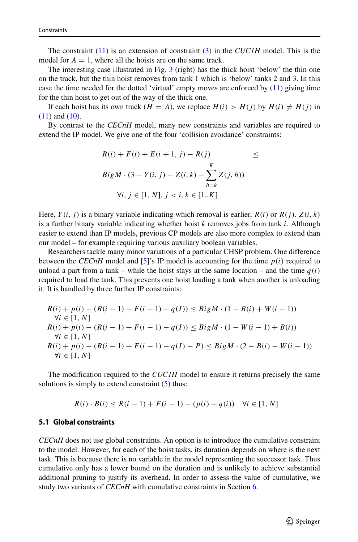The constraint [\(11\)](#page-7-3) is an extension of constraint [\(3\)](#page-3-2) in the *CUC1H* model. This is the model for  $A = 1$ , where all the hoists are on the same track.

The interesting case illustrated in Fig. [3](#page-7-2) (right) has the thick hoist 'below' the thin one on the track, but the thin hoist removes from tank 1 which is 'below' tanks 2 and 3. In this case the time needed for the dotted 'virtual' empty moves are enforced by [\(11\)](#page-7-3) giving time for the thin hoist to get out of the way of the thick one.

If each hoist has its own track  $(H = A)$ , we replace  $H(i) > H(j)$  by  $H(i) \neq H(j)$  in [\(11\)](#page-7-3) and [\(10\)](#page-7-3).

By contrast to the *CECnH* model, many new constraints and variables are required to extend the IP model. We give one of the four 'collision avoidance' constraints:

$$
R(i) + F(i) + E(i + 1, j) - R(j) \le
$$
  
\n
$$
Big M \cdot (3 - Y(i, j) - Z(i, k) - \sum_{h=k}^{K} Z(j, h))
$$
  
\n
$$
\forall i, j \in [1, N], j < i, k \in [1..K]
$$

Here,  $Y(i, j)$  is a binary variable indicating which removal is earlier,  $R(i)$  or  $R(j)$ .  $Z(i, k)$ is a further binary variable indicating whether hoist *k* removes jobs from tank *i*. Although easier to extend than IP models, previous CP models are also more complex to extend than our model – for example requiring various auxiliary boolean variables.

Researchers tackle many minor variations of a particular CHSP problem. One difference between the *CECnH* model and [\[5\]](#page-17-2)'s IP model is accounting for the time  $p(i)$  required to unload a part from a tank – while the hoist stays at the same location – and the time  $q(i)$ required to load the tank. This prevents one hoist loading a tank when another is unloading it. It is handled by three further IP constraints:

$$
R(i) + p(i) - (R(i - 1) + F(i - 1) - q(I)) \leq BigM \cdot (1 - B(i) + W(i - 1))
$$
  
\n
$$
\forall i \in [1, N]
$$
  
\n
$$
R(i) + p(i) - (R(i - 1) + F(i - 1) - q(I)) \leq BigM \cdot (1 - W(i - 1) + B(i))
$$
  
\n
$$
\forall i \in [1, N]
$$
  
\n
$$
R(i) + p(i) - (R(i - 1) + F(i - 1) - q(I) - P) \leq BigM \cdot (2 - B(i) - W(i - 1))
$$
  
\n
$$
\forall i \in [1, N]
$$

The modification required to the *CUC1H* model to ensure it returns precisely the same solutions is simply to extend constraint  $(5)$  thus:

$$
R(i) \cdot B(i) \le R(i-1) + F(i-1) - (p(i) + q(i)) \quad \forall i \in [1, N]
$$

#### **5.1 Global constraints**

*CECnH* does not use global constraints. An option is to introduce the cumulative constraint to the model. However, for each of the hoist tasks, its duration depends on where is the next task. This is because there is no variable in the model representing the successor task. Thus cumulative only has a lower bound on the duration and is unlikely to achieve substantial additional pruning to justify its overhead. In order to assess the value of cumulative, we study two variants of *CECnH* with cumulative constraints in Section [6.](#page-9-0)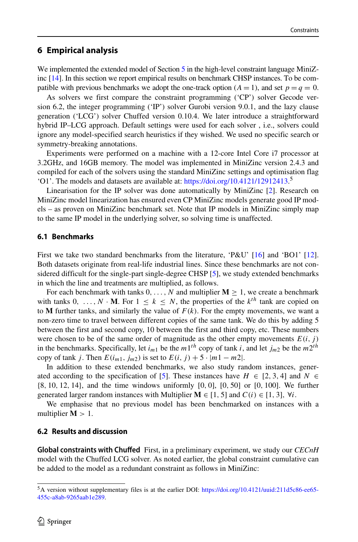# <span id="page-9-0"></span>**6 Empirical analysis**

We implemented the extended model of Section [5](#page-6-0) in the high-level constraint language MiniZinc [\[14\]](#page-18-2). In this section we report empirical results on benchmark CHSP instances. To be compatible with previous benchmarks we adopt the one-track option  $(A = 1)$ , and set  $p = q = 0$ .

As solvers we first compare the constraint programming ('CP') solver Gecode version 6.2, the integer programming ('IP') solver Gurobi version 9.0.1, and the lazy clause generation ('LCG') solver Chuffed version 0.10.4. We later introduce a straightforward hybrid IP–LCG approach. Default settings were used for each solver , i.e., solvers could ignore any model-specified search heuristics if they wished. We used no specific search or symmetry-breaking annotations.

Experiments were performed on a machine with a 12-core Intel Core i7 processor at 3.2GHz, and 16GB memory. The model was implemented in MiniZinc version 2.4.3 and compiled for each of the solvers using the standard MiniZinc settings and optimisation flag 'O1'. The models and datasets are available at: [https://doi.org/10.4121/12912413.](https://doi.org/10.4121/12912413) [5](#page-9-1)

Linearisation for the IP solver was done automatically by MiniZinc [\[2\]](#page-17-4). Research on MiniZinc model linearization has ensured even CP MiniZinc models generate good IP models – as proven on MiniZinc benchmark set. Note that IP models in MiniZinc simply map to the same IP model in the underlying solver, so solving time is unaffected.

# **6.1 Benchmarks**

First we take two standard benchmarks from the literature, 'P&U' [\[16\]](#page-18-4) and 'BO1' [\[12\]](#page-18-5). Both datasets originate from real-life industrial lines. Since these benchmarks are not considered difficult for the single-part single-degree CHSP [\[5\]](#page-17-2), we study extended benchmarks in which the line and treatments are multiplied, as follows.

For each benchmark with tanks  $0, \ldots, N$  and multiplier  $M \geq 1$ , we create a benchmark with tanks 0, ...,  $N \cdot M$ . For  $1 \le k \le N$ , the properties of the  $k^{th}$  tank are copied on to **M** further tanks, and similarly the value of  $F(k)$ . For the empty movements, we want a non-zero time to travel between different copies of the same tank. We do this by adding 5 between the first and second copy, 10 between the first and third copy, etc. These numbers were chosen to be of the same order of magnitude as the other empty movements  $E(i, j)$ in the benchmarks. Specifically, let  $i_{m1}$  be the  $m1^{th}$  copy of tank  $i$ , and let  $j_{m2}$  be the  $m2^{th}$ copy of tank *j*. Then  $E(i_{m1}, j_{m2})$  is set to  $E(i, j) + 5 \cdot |m1 - m2|$ .

In addition to these extended benchmarks, we also study random instances, gener-ated according to the specification of [\[5\]](#page-17-2). These instances have  $H \in [2, 3, 4]$  and  $N \in$ {8*,* 10*,* 12*,* 14}, and the time windows uniformly [0*,* 0], [0*,* 50] or [0*,* 100]. We further generated larger random instances with Multiplier **M** ∈ [1, 5] and  $C(i) \in [1, 3]$ ,  $\forall i$ .

We emphasise that no previous model has been benchmarked on instances with a multiplier  $M > 1$ .

## **6.2 Results and discussion**

**Global constraints with Chuffed** First, in a preliminary experiment, we study our *CECnH* model with the Chuffed LCG solver. As noted earlier, the global constraint cumulative can be added to the model as a redundant constraint as follows in MiniZinc:

<span id="page-9-1"></span><sup>5</sup>A version without supplementary files is at the earlier DOI: [https://doi.org/10.4121/uuid:211d5c86-ee65-](https://doi.org/10.4121/uuid:211d5c86-ee65-455c-a8ab-9265aab1e289) [455c-a8ab-9265aab1e289.](https://doi.org/10.4121/uuid:211d5c86-ee65-455c-a8ab-9265aab1e289)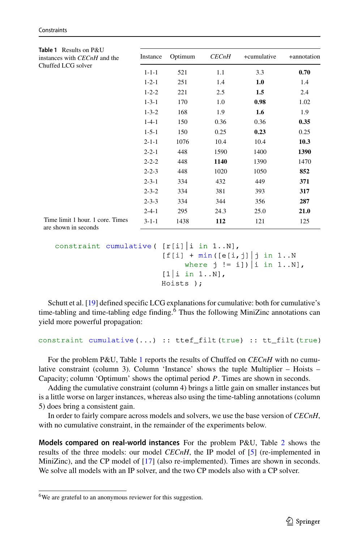<span id="page-10-1"></span>

| <b>Table 1</b> Results on P&U<br>instances with <i>CECnH</i> and the | Instance    | Optimum | <b>CECnH</b> | +cumulative | +annotation |
|----------------------------------------------------------------------|-------------|---------|--------------|-------------|-------------|
| Chuffed LCG solver                                                   | $1 - 1 - 1$ | 521     | 1.1          | 3.3         | 0.70        |
|                                                                      | $1 - 2 - 1$ | 251     | 1.4          | 1.0         | 1.4         |
|                                                                      | $1 - 2 - 2$ | 221     | 2.5          | 1.5         | 2.4         |
|                                                                      | $1 - 3 - 1$ | 170     | 1.0          | 0.98        | 1.02        |
|                                                                      | $1 - 3 - 2$ | 168     | 1.9          | 1.6         | 1.9         |
|                                                                      | $1 - 4 - 1$ | 150     | 0.36         | 0.36        | 0.35        |
|                                                                      | $1 - 5 - 1$ | 150     | 0.25         | 0.23        | 0.25        |
|                                                                      | $2 - 1 - 1$ | 1076    | 10.4         | 10.4        | 10.3        |
|                                                                      | $2 - 2 - 1$ | 448     | 1590         | 1400        | 1390        |
|                                                                      | $2 - 2 - 2$ | 448     | 1140         | 1390        | 1470        |
|                                                                      | $2 - 2 - 3$ | 448     | 1020         | 1050        | 852         |
|                                                                      | $2 - 3 - 1$ | 334     | 432          | 449         | 371         |
|                                                                      | $2 - 3 - 2$ | 334     | 381          | 393         | 317         |
|                                                                      | $2 - 3 - 3$ | 334     | 344          | 356         | 287         |
|                                                                      | $2 - 4 - 1$ | 295     | 24.3         | 25.0        | 21.0        |
| Time limit 1 hour. 1 core. Times                                     | $3 - 1 - 1$ | 1438    | 112          | 121         | 125         |

```
are shown in seconds
```

```
constraint cumulative ([r[i]|i \in 1..N],
            [f[i] + min([e[i,j]]]j in 1..N]where j := i]) i in 1..N],
            [1]i in 1..N],
            Hoists );
```
Schutt et al. [\[19\]](#page-18-6) defined specific LCG explanations for cumulative: both for cumulative's time-tabling and time-tabling edge finding.<sup>6</sup> Thus the following MiniZinc annotations can yield more powerful propagation:

# constraint cumulative (...) :: ttef\_filt(true) :: tt\_filt(true)

For the problem P&U, Table [1](#page-10-1) reports the results of Chuffed on *CECnH* with no cumulative constraint (column 3). Column 'Instance' shows the tuple Multiplier – Hoists – Capacity; column 'Optimum' shows the optimal period *P*. Times are shown in seconds.

Adding the cumulative constraint (column 4) brings a little gain on smaller instances but is a little worse on larger instances, whereas also using the time-tabling annotations (column 5) does bring a consistent gain.

In order to fairly compare across models and solvers, we use the base version of *CECnH*, with no cumulative constraint, in the remainder of the experiments below.

**Models compared on real-world instances** For the problem P&U, Table [2](#page-11-0) shows the results of the three models: our model *CECnH*, the IP model of [\[5\]](#page-17-2) (re-implemented in MiniZinc), and the CP model of [\[17\]](#page-18-3) (also re-implemented). Times are shown in seconds. We solve all models with an IP solver, and the two CP models also with a CP solver.

<sup>&</sup>lt;sup>6</sup>We are grateful to an anonymous reviewer for this suggestion.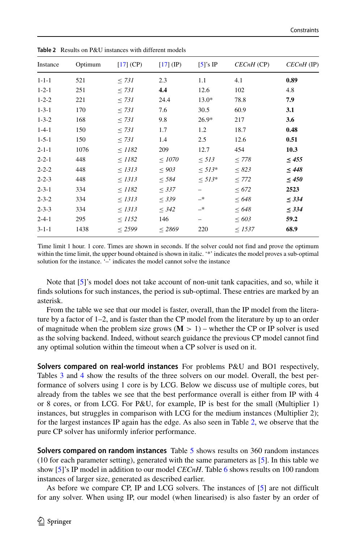| Instance    | Optimum | [17] (CP)   | $[17]$ (IP) | $[5]$ 's IP | $CECnH$ (CP) | $CECnH$ (IP) |
|-------------|---------|-------------|-------------|-------------|--------------|--------------|
| $1 - 1 - 1$ | 521     | $\leq$ 731  | 2.3         | 1.1         | 4.1          | 0.89         |
| $1 - 2 - 1$ | 251     | < 731       | 4.4         | 12.6        | 102          | 4.8          |
| $1 - 2 - 2$ | 221     | < 731       | 24.4        | $13.0*$     | 78.8         | 7.9          |
| $1 - 3 - 1$ | 170     | < 731       | 7.6         | 30.5        | 60.9         | 3.1          |
| $1 - 3 - 2$ | 168     | < 731       | 9.8         | $26.9*$     | 217          | 3.6          |
| $1 - 4 - 1$ | 150     | < 731       | 1.7         | 1.2         | 18.7         | 0.48         |
| $1 - 5 - 1$ | 150     | $\leq$ 731  | 1.4         | 2.5         | 12.6         | 0.51         |
| $2 - 1 - 1$ | 1076    | $\leq$ 1182 | 209         | 12.7        | 454          | 10.3         |
| $2 - 2 - 1$ | 448     | < 1182      | $\leq 1070$ | $\leq$ 513  | $\leq$ 778   | $\leq 455$   |
| $2 - 2 - 2$ | 448     | $\leq$ 1313 | $\leq 903$  | $\leq 513*$ | $\leq$ 823   | $\leq 448$   |
| $2 - 2 - 3$ | 448     | $<$ 1313    | $\leq$ 584  | $\leq 513*$ | $\leq$ 772   | $\leq 450$   |
| $2 - 3 - 1$ | 334     | < 1182      | $\leq$ 337  |             | $\leq 672$   | 2523         |
| $2 - 3 - 2$ | 334     | $\leq$ 1313 | $\leq$ 339  | $-$ *       | $\leq 648$   | $\leq$ 334   |
| $2 - 3 - 3$ | 334     | $<$ 1313    | $\leq$ 342  | $-*$        | $\leq 648$   | $\leq$ 334   |
| $2 - 4 - 1$ | 295     | < 1152      | 146         | -           | $\leq 603$   | 59.2         |
| $3 - 1 - 1$ | 1438    | $\leq$ 2599 | $\leq$ 2869 | 220         | $\leq$ 1537  | 68.9         |

<span id="page-11-0"></span>**Table 2** Results on P&U instances with different models

Time limit 1 hour. 1 core. Times are shown in seconds. If the solver could not find and prove the optimum within the time limit, the upper bound obtained is shown in italic. '\*' indicates the model proves a sub-optimal solution for the instance. '–' indicates the model cannot solve the instance

Note that [\[5\]](#page-17-2)'s model does not take account of non-unit tank capacities, and so, while it finds solutions for such instances, the period is sub-optimal. These entries are marked by an asterisk.

From the table we see that our model is faster, overall, than the IP model from the literature by a factor of 1–2, and is faster than the CP model from the literature by up to an order of magnitude when the problem size grows  $(M > 1)$  – whether the CP or IP solver is used as the solving backend. Indeed, without search guidance the previous CP model cannot find any optimal solution within the timeout when a CP solver is used on it.

**Solvers compared on real-world instances** For problems P&U and BO1 respectively, Tables [3](#page-12-0) and [4](#page-13-0) show the results of the three solvers on our model. Overall, the best performance of solvers using 1 core is by LCG. Below we discuss use of multiple cores, but already from the tables we see that the best performance overall is either from IP with 4 or 8 cores, or from LCG. For P&U, for example, IP is best for the small (Multiplier 1) instances, but struggles in comparison with LCG for the medium instances (Multiplier 2); for the largest instances IP again has the edge. As also seen in Table [2,](#page-11-0) we observe that the pure CP solver has uniformly inferior performance.

**Solvers compared on random instances** Table [5](#page-13-1) shows results on 360 random instances (10 for each parameter setting), generated with the same parameters as [\[5\]](#page-17-2). In this table we show [\[5\]](#page-17-2)'s IP model in addition to our model *CECnH*. Table [6](#page-14-0) shows results on 100 random instances of larger size, generated as described earlier.

As before we compare CP, IP and LCG solvers. The instances of [\[5\]](#page-17-2) are not difficult for any solver. When using IP, our model (when linearised) is also faster by an order of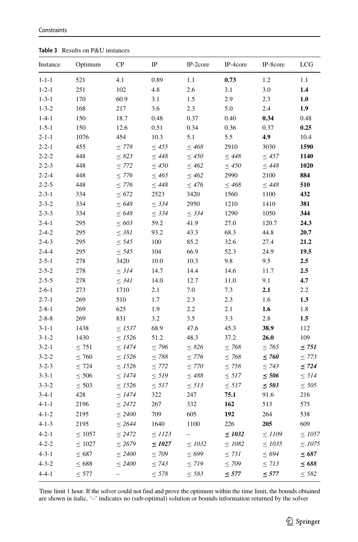<span id="page-12-0"></span>**Table 3** Results on P&U instances

| Instance    | Optimum     | CP                       | IP          | IP-2core                 | IP-4core    | IP-8core    | <b>LCG</b>  |
|-------------|-------------|--------------------------|-------------|--------------------------|-------------|-------------|-------------|
| $1 - 1 - 1$ | 521         | 4.1                      | 0.89        | 1.1                      | 0.73        | 1.2         | 1.1         |
| $1 - 2 - 1$ | 251         | 102                      | 4.8         | 2.6                      | 3.1         | 3.0         | 1.4         |
| $1 - 3 - 1$ | 170         | 60.9                     | 3.1         | 1.5                      | 2.9         | 2.3         | 1.0         |
| $1 - 3 - 2$ | 168         | 217                      | 3.6         | 2.3                      | 5.0         | 2.4         | 1.9         |
| $1 - 4 - 1$ | 150         | 18.7                     | 0.48        | 0.37                     | 0.40        | 0.34        | 0.48        |
| $1 - 5 - 1$ | 150         | 12.6                     | 0.51        | 0.34                     | 0.36        | 0.37        | 0.25        |
| $2 - 1 - 1$ | 1076        | 454                      | 10.3        | 5.1                      | 5.5         | 4.9         | 10.4        |
| $2 - 2 - 1$ | 455         | $\leq 778$               | $\leq 455$  | ~168                     | 2910        | 3030        | 1590        |
| $2 - 2 - 2$ | 448         | $\leq$ 823               | < 448       | $\leq 450$               | $\leq 448$  | $\leq 457$  | 1140        |
| $2 - 2 - 3$ | 448         | $\leq 772$               | $\leq 450$  | $\leq 462$               | $\leq 450$  | $\leq 448$  | 1020        |
| $2 - 2 - 4$ | 448         | $\leq 776$               | $\leq 465$  | $\leq 462$               | 2990        | 2100        | 884         |
| $2 - 2 - 5$ | 448         | $\leq 776$               | $\leq 448$  | $\leq 476$               | $\leq 468$  | $\leq 448$  | 510         |
| $2 - 3 - 1$ | 334         | $\leq 672$               | 2523        | 3420                     | 1560        | 1100        | 432         |
| $2 - 3 - 2$ | 334         | $\leq 648$               | $\leq$ 334  | 2950                     | 1210        | 1410        | 381         |
| $2 - 3 - 3$ | 334         | $\leq 648$               | $\leq$ 334  | $\leq$ 334               | 1290        | 1050        | 344         |
| $2 - 4 - 1$ | 295         | $\leq 603$               | 59.2        | 41.9                     | 27.0        | 120.7       | 24.3        |
| $2 - 4 - 2$ | 295         | $\leq$ 381               | 93.2        | 43.3                     | 68.3        | 44.8        | 20.7        |
| $2 - 4 - 3$ | 295         | $\leq 545$               | 100         | 85.2                     | 32.6        | 27.4        | 21.2        |
| $2 - 4 - 4$ | 295         | $\leq 545$               | 104         | 66.9                     | 52.3        | 24.9        | 19.5        |
| $2 - 5 - 1$ | 278         | 3420                     | 10.0        | 10.3                     | 9.8         | 9.5         | 2.5         |
| $2 - 5 - 2$ | 278         | $\leq$ 314               | 14.7        | 14.4                     | 14.6        | 11.7        | 2.5         |
| $2 - 5 - 5$ | 278         | < 341                    | 14.0        | 12.7                     | 11.0        | 9.1         | 4.7         |
| $2 - 6 - 1$ | 273         | 1710                     | 2.1         | 7.0                      | 7.3         | 2.1         | 2.2         |
| $2 - 7 - 1$ | 269         | 510                      | 1.7         | 2.3                      | 2.3         | 1.6         | 1.3         |
| $2 - 8 - 1$ | 269         | 625                      | 1.9         | 2.2                      | 2.1         | 1.6         | 1.8         |
| $2 - 8 - 8$ | 269         | 831                      | 3.2         | 3.5                      | 3.3         | 2.8         | 1.5         |
| $3 - 1 - 1$ | 1438        | $\leq$ 1537              | 68.9        | 47.6                     | 45.3        | 38.9        | 112         |
| $3 - 1 - 2$ | 1430        | $\leq$ 1526              | 51.2        | 48.3                     | 37.2        | 26.0        | 109         |
| $3 - 2 - 1$ | $\leq 751$  | $\leq$ 1474              | $\leq 796$  | $\leq$ 826               | $\leq 768$  | $\leq 765$  | $\leq 751$  |
| $3 - 2 - 2$ | $\leq 760$  | $\leq$ 1526              | $\leq 788$  | $\leq 776$               | $\leq 768$  | $\leq 760$  | $\leq$ 773  |
| $3 - 2 - 3$ | $\leq 724$  | $\leq$ 1526              | $\leq 772$  | $\leq 770$               | $\leq 758$  | $\leq 743$  | $\leq 724$  |
| $3 - 3 - 1$ | $\leq 506$  | $\leq$ 1474              | $\leq 519$  | $\leq 488$               | $\leq$ 517  | $\leq 506$  | $\leq$ 514  |
| $3 - 3 - 2$ | $\leq 503$  | < 1526                   | $\leq$ 517  | $\leq$ 513               | $\leq$ 517  | $\leq 503$  | $\leq 505$  |
| $3-4-1$     | 428         | < 1474                   | 322         | 247                      | 75.1        | 91.6        | 216         |
| $4 - 1 - 1$ | 2196        | $\leq$ 2472              | 267         | 332                      | 162         | 513         | 575         |
| $4 - 1 - 2$ | 2195        | $\leq 2400$              | 709         | 605                      | 192         | 264         | 538         |
| $4 - 1 - 3$ | 2195        | $\leq$ 2644              | 1640        | 1100                     | 226         | 205         | 609         |
| $4 - 2 - 1$ | $\leq 1057$ | $\leq 2472$              | $\leq$ 1123 | $\overline{\phantom{0}}$ | $\leq$ 1032 | $\leq$ 1109 | $\leq 1057$ |
| $4 - 2 - 2$ | $\leq 1027$ | $\leq$ 2679              | $\leq 1027$ | $\leq$ 1032              | $\leq$ 1082 | $\leq$ 1035 | $\leq 1075$ |
| $4 - 3 - 1$ | $\leq 687$  | $\leq$ 2400              | $\leq 709$  | $\leq 699$               | $\leq$ 731  | $\leq 694$  | $\leq 687$  |
| $4 - 3 - 2$ | $\leq 688$  | $\leq$ 2400              | $\leq 743$  | $\leq$ 719               | $\leq 709$  | $\leq$ 713  | $\leq 688$  |
| $4 - 4 - 1$ | $\leq$ 577  | $\overline{\phantom{0}}$ | $\leq$ 578  | $\leq$ 583               | $\leq$ 577  | $\leq$ 577  | $\leq$ 582  |
|             |             |                          |             |                          |             |             |             |

Time limit 1 hour. If the solver could not find and prove the optimum within the time limit, the bounds obtained are shown in italic. '–' indicates no (sub-optimal) solution or bounds information returned by the solver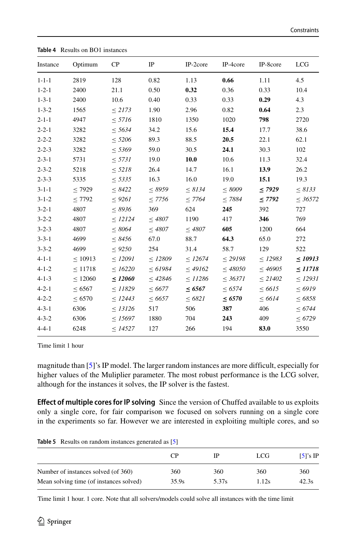| Instance    | Optimum     | CP           | IP          | $IP-2core$  | IP-4core    | IP-8core    | <b>LCG</b>   |
|-------------|-------------|--------------|-------------|-------------|-------------|-------------|--------------|
| $1 - 1 - 1$ | 2819        | 128          | 0.82        | 1.13        | 0.66        | 1.11        | 4.5          |
| $1 - 2 - 1$ | 2400        | 21.1         | 0.50        | 0.32        | 0.36        | 0.33        | 10.4         |
| $1 - 3 - 1$ | 2400        | 10.6         | 0.40        | 0.33        | 0.33        | 0.29        | 4.3          |
| $1 - 3 - 2$ | 1565        | < 2173       | 1.90        | 2.96        | 0.82        | 0.64        | 2.3          |
| $2 - 1 - 1$ | 4947        | < 5716       | 1810        | 1350        | 1020        | 798         | 2720         |
| $2 - 2 - 1$ | 3282        | < 5634       | 34.2        | 15.6        | 15.4        | 17.7        | 38.6         |
| $2 - 2 - 2$ | 3282        | < 5206       | 89.3        | 88.5        | 20.5        | 22.1        | 62.1         |
| $2 - 2 - 3$ | 3282        | < 5369       | 59.0        | 30.5        | 24.1        | 30.3        | 102          |
| $2 - 3 - 1$ | 5731        | < 5731       | 19.0        | 10.0        | 10.6        | 11.3        | 32.4         |
| $2 - 3 - 2$ | 5218        | < 5218       | 26.4        | 14.7        | 16.1        | 13.9        | 26.2         |
| $2 - 3 - 3$ | 5335        | < 5335       | 16.3        | 16.0        | 19.0        | 15.1        | 19.3         |
| $3 - 1 - 1$ | < 7929      | < 8422       | < 8959      | < 8134      | ${}<8009$   | $\leq$ 7929 | < 8133       |
| $3 - 1 - 2$ | < 7792      | < 9261       | < 7756      | < 7764      | < 7884      | $\leq 7792$ | < 36572      |
| $3 - 2 - 1$ | 4807        | < 8936       | 369         | 624         | 245         | 392         | 727          |
| $3 - 2 - 2$ | 4807        | < 12124      | $\leq 4807$ | 1190        | 417         | 346         | 769          |
| $3 - 2 - 3$ | 4807        | < 8064       | < 4807      | $\leq 4807$ | 605         | 1200        | 664          |
| $3 - 3 - 1$ | 4699        | < 8456       | 67.0        | 88.7        | 64.3        | 65.0        | 272          |
| $3 - 3 - 2$ | 4699        | < 9250       | 254         | 31.4        | 58.7        | 129         | 522          |
| $4 - 1 - 1$ | < 10913     | < 12091      | < 12809     | < 12674     | < 29198     | < 12983     | $\leq 10913$ |
| $4 - 1 - 2$ | < 11718     | < 16220      | < 61984     | < 49162     | < 48050     | < 46905     | $\leq$ 11718 |
| $4 - 1 - 3$ | < 12060     | $\leq 12060$ | < 42846     | < 11286     | < 36371     | < 21402     | $<$ 12931    |
| $4 - 2 - 1$ | $\leq 6567$ | $\leq$ 11829 | $\leq 6677$ | $\leq 6567$ | $\leq 6574$ | $\leq 6615$ | $\leq 6919$  |
| $4 - 2 - 2$ | $\leq 6570$ | < 12443      | $\leq 6657$ | $\leq 6821$ | $\leq 6570$ | $\leq 6614$ | $\leq 6858$  |
| $4 - 3 - 1$ | 6306        | $\leq$ 13126 | 517         | 506         | 387         | 406         | $\leq 6744$  |
| $4 - 3 - 2$ | 6306        | < 15697      | 1880        | 704         | 243         | 409         | $\leq 6729$  |
| $4 - 4 - 1$ | 6248        | < 14527      | 127         | 266         | 194         | 83.0        | 3550         |

<span id="page-13-0"></span>**Table 4** Results on BO1 instances

Time limit 1 hour

magnitude than [\[5\]](#page-17-2)'s IP model. The larger random instances are more difficult, especially for higher values of the Muliplier parameter. The most robust performance is the LCG solver, although for the instances it solves, the IP solver is the fastest.

**Effect of multiple cores for IP solving** Since the version of Chuffed available to us exploits only a single core, for fair comparison we focused on solvers running on a single core in the experiments so far. However we are interested in exploiting multiple cores, and so

|                                         | CР    | IP    | LCG   | $[5]$ 's IP |
|-----------------------------------------|-------|-------|-------|-------------|
| Number of instances solved (of 360)     | 360   | 360   | 360   | 360         |
| Mean solving time (of instances solved) | 35.9s | 5.37s | 1.12s | 42.3s       |
|                                         |       |       |       |             |

<span id="page-13-1"></span>**Table 5** Results on random instances generated as [\[5\]](#page-17-2)

Time limit 1 hour. 1 core. Note that all solvers/models could solve all instances with the time limit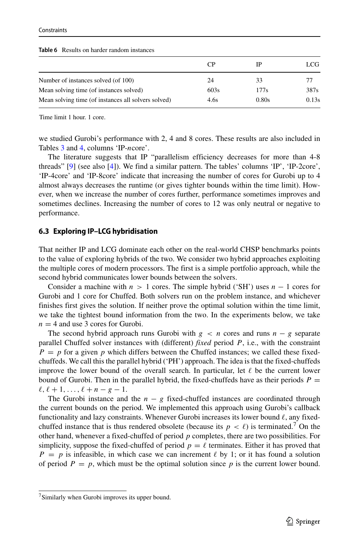<span id="page-14-0"></span>

| СP   | IP    | LCG-  |
|------|-------|-------|
| 24   | 33    | 77    |
| 603s | 177s  | 387s  |
| 4.6s | 0.80s | 0.13s |
|      |       |       |

Time limit 1 hour. 1 core.

we studied Gurobi's performance with 2, 4 and 8 cores. These results are also included in Tables [3](#page-12-0) and [4,](#page-13-0) columns 'IP-*n*core'.

The literature suggests that IP "parallelism efficiency decreases for more than 4-8 threads" [\[9\]](#page-18-7) (see also [\[4\]](#page-17-5)). We find a similar pattern. The tables' columns 'IP', 'IP-2core', 'IP-4core' and 'IP-8core' indicate that increasing the number of cores for Gurobi up to 4 almost always decreases the runtime (or gives tighter bounds within the time limit). However, when we increase the number of cores further, performance sometimes improves and sometimes declines. Increasing the number of cores to 12 was only neutral or negative to performance.

# **6.3 Exploring IP–LCG hybridisation**

That neither IP and LCG dominate each other on the real-world CHSP benchmarks points to the value of exploring hybrids of the two. We consider two hybrid approaches exploiting the multiple cores of modern processors. The first is a simple portfolio approach, while the second hybrid communicates lower bounds between the solvers.

Consider a machine with *n >* 1 cores. The simple hybrid ('SH') uses *n* − 1 cores for Gurobi and 1 core for Chuffed. Both solvers run on the problem instance, and whichever finishes first gives the solution. If neither prove the optimal solution within the time limit, we take the tightest bound information from the two. In the experiments below, we take  $n = 4$  and use 3 cores for Gurobi.

The second hybrid approach runs Gurobi with  $g < n$  cores and runs  $n - g$  separate parallel Chuffed solver instances with (different) *fixed* period *P*, i.e., with the constraint  $P = p$  for a given p which differs between the Chuffed instances; we called these fixedchuffeds. We call this the parallel hybrid ('PH') approach. The idea is that the fixed-chuffeds improve the lower bound of the overall search. In particular, let  $\ell$  be the current lower bound of Gurobi. Then in the parallel hybrid, the fixed-chuffeds have as their periods  $P =$  $\ell, \ell + 1, \ldots, \ell + n - g - 1.$ 

The Gurobi instance and the  $n - g$  fixed-chuffed instances are coordinated through the current bounds on the period. We implemented this approach using Gurobi's callback functionality and lazy constraints. Whenever Gurobi increases its lower bound  $\ell$ , any fixedchuffed instance that is thus rendered obsolete (because its  $p < \ell$ ) is terminated.<sup>7</sup> On the other hand, whenever a fixed-chuffed of period *p* completes, there are two possibilities. For simplicity, suppose the fixed-chuffed of period  $p = \ell$  terminates. Either it has proved that  $P = p$  is infeasible, in which case we can increment  $\ell$  by 1; or it has found a solution of period  $P = p$ , which must be the optimal solution since p is the current lower bound.

<span id="page-14-1"></span><sup>7</sup>Similarly when Gurobi improves its upper bound.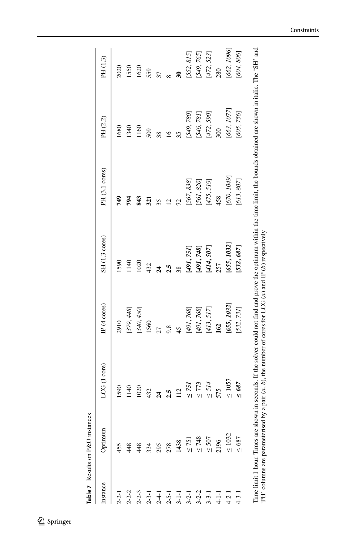| Instance    | Optimum                          | LCG <sub>(1 core)</sub> | IP (4 cores)                                                                  | SH (1,3 cores)  | PH (3,1 cores)                                                                                                                                                                 | PH (2,2)       | PH(1,3)     |
|-------------|----------------------------------|-------------------------|-------------------------------------------------------------------------------|-----------------|--------------------------------------------------------------------------------------------------------------------------------------------------------------------------------|----------------|-------------|
| $2 - 2 - 1$ | 455                              | 1590                    | 2910                                                                          | 1590            | 749                                                                                                                                                                            | 1680           | 2020        |
| $2 - 2 - 2$ | 448                              | 140                     | [379, 448]                                                                    | $\frac{40}{2}$  | 794                                                                                                                                                                            | 1340           | 1550        |
| $2 - 2 - 3$ | 48                               | $\overline{0}$          | [340, 450]                                                                    | $\overline{0}0$ | 843                                                                                                                                                                            | $\frac{8}{10}$ | 1620        |
| $2 - 3 - 1$ | 334                              | 432                     | 1560                                                                          | 432             | 321                                                                                                                                                                            | 509            | 559         |
| $2 - 4 - 1$ | 295                              |                         |                                                                               |                 | 55                                                                                                                                                                             |                |             |
| $2 - 5 - 1$ | 278                              |                         | 9.8                                                                           | 2.5             | $\mathbf{\mathcal{L}}$                                                                                                                                                         | $\geq$         |             |
| $3 - 1 - 1$ | 1438                             |                         | 45                                                                            | 38              | 72                                                                                                                                                                             | 35             |             |
| $3 - 2 - 1$ | $\leq 751$                       | $\leq 75I$              | [491, 768]                                                                    | [491, 751]      | [567, 838]                                                                                                                                                                     | [549, 780]     | 552,815]    |
| $3 - 2 - 2$ |                                  | $\leq$ 773              | [491,768]                                                                     | [491,748]       | [561, 820]                                                                                                                                                                     | [546,781]      | [549,765]   |
| $3 - 3 - 1$ | $\leq 748$ $\leq 507$            | $\leq$ 514              | [413, 517]                                                                    | [414, 507]      | [475, 519]                                                                                                                                                                     | [472, 590]     | [472, 523]  |
| $4 - 1 - 1$ | 2196                             |                         | 162                                                                           | 257             | 458                                                                                                                                                                            | 300            | 280         |
| $4 - 2 - 1$ | $\leq 1032$                      | $\leq 1057$             | [655, 1032]                                                                   | [655, 1032]     | [670, 1049]                                                                                                                                                                    | [663, 1077]    | [662, 1096] |
| $4 - 3 - 1$ | $\leq 687$                       | $\leq 687$              | [532, 731]                                                                    | [532, 687]      | [613, 807]                                                                                                                                                                     | [605, 756]     | [604,806]   |
|             | PH' columns are parameterised by |                         | a pair $(a, b)$ , the number of cores for LCG $(a)$ and IP $(b)$ respectively |                 | Time limit 1 hour. Times are shown in seconds. If the solver could not find and prove the optimum within the time limit, the bounds obtained are shown in italic. The 'SH' and |                |             |
|             |                                  |                         |                                                                               |                 |                                                                                                                                                                                |                |             |

# <span id="page-15-0"></span>Table 7 Results on  $P\&U$  instances **Table 7** Results on P&U instances

Constraints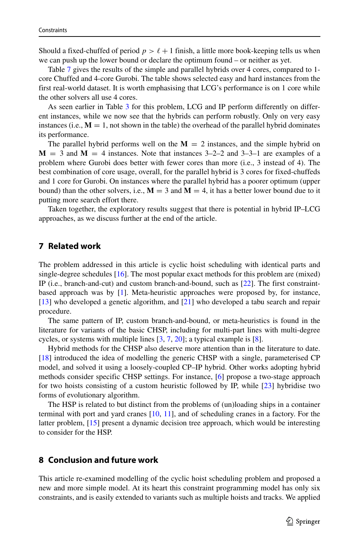Should a fixed-chuffed of period  $p > \ell + 1$  finish, a little more book-keeping tells us when we can push up the lower bound or declare the optimum found – or neither as yet.

Table [7](#page-15-0) gives the results of the simple and parallel hybrids over 4 cores, compared to 1core Chuffed and 4-core Gurobi. The table shows selected easy and hard instances from the first real-world dataset. It is worth emphasising that LCG's performance is on 1 core while the other solvers all use 4 cores.

As seen earlier in Table [3](#page-12-0) for this problem, LCG and IP perform differently on different instances, while we now see that the hybrids can perform robustly. Only on very easy instances (i.e.,  $M = 1$ , not shown in the table) the overhead of the parallel hybrid dominates its performance.

The parallel hybrid performs well on the  $M = 2$  instances, and the simple hybrid on  $M = 3$  and  $M = 4$  instances. Note that instances  $3-2-2$  and  $3-3-1$  are examples of a problem where Gurobi does better with fewer cores than more (i.e., 3 instead of 4). The best combination of core usage, overall, for the parallel hybrid is 3 cores for fixed-chuffeds and 1 core for Gurobi. On instances where the parallel hybrid has a poorer optimum (upper bound) than the other solvers, i.e.,  $M = 3$  and  $M = 4$ , it has a better lower bound due to it putting more search effort there.

Taken together, the exploratory results suggest that there is potential in hybrid IP–LCG approaches, as we discuss further at the end of the article.

# <span id="page-16-0"></span>**7 Related work**

The problem addressed in this article is cyclic hoist scheduling with identical parts and single-degree schedules [\[16\]](#page-18-4). The most popular exact methods for this problem are (mixed) IP (i.e., branch-and-cut) and custom branch-and-bound, such as [\[22\]](#page-18-8). The first constraintbased approach was by [\[1\]](#page-17-3). Meta-heuristic approaches were proposed by, for instance, [\[13\]](#page-18-9) who developed a genetic algorithm, and [\[21\]](#page-18-10) who developed a tabu search and repair procedure.

The same pattern of IP, custom branch-and-bound, or meta-heuristics is found in the literature for variants of the basic CHSP, including for multi-part lines with multi-degree cycles, or systems with multiple lines [\[3,](#page-17-0) [7,](#page-17-1) [20\]](#page-18-11); a typical example is [\[8\]](#page-18-1).

Hybrid methods for the CHSP also deserve more attention than in the literature to date. [\[18\]](#page-18-0) introduced the idea of modelling the generic CHSP with a single, parameterised CP model, and solved it using a loosely-coupled CP–IP hybrid. Other works adopting hybrid methods consider specific CHSP settings. For instance, [\[6\]](#page-17-6) propose a two-stage approach for two hoists consisting of a custom heuristic followed by IP, while [\[23\]](#page-18-12) hybridise two forms of evolutionary algorithm.

The HSP is related to but distinct from the problems of (un)loading ships in a container terminal with port and yard cranes [\[10,](#page-18-13) [11\]](#page-18-14), and of scheduling cranes in a factory. For the latter problem, [\[15\]](#page-18-15) present a dynamic decision tree approach, which would be interesting to consider for the HSP.

# <span id="page-16-1"></span>**8 Conclusion and future work**

This article re-examined modelling of the cyclic hoist scheduling problem and proposed a new and more simple model. At its heart this constraint programming model has only six constraints, and is easily extended to variants such as multiple hoists and tracks. We applied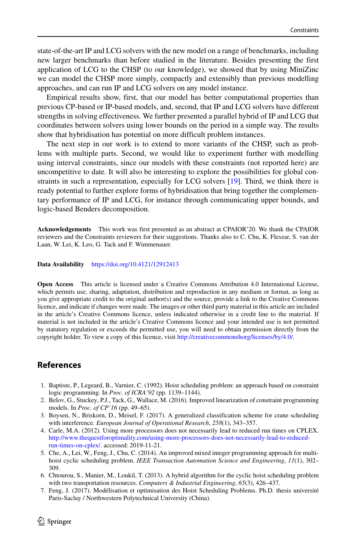state-of-the-art IP and LCG solvers with the new model on a range of benchmarks, including new larger benchmarks than before studied in the literature. Besides presenting the first application of LCG to the CHSP (to our knowledge), we showed that by using MiniZinc we can model the CHSP more simply, compactly and extensibly than previous modelling approaches, and can run IP and LCG solvers on any model instance.

Empirical results show, first, that our model has better computational properties than previous CP-based or IP-based models, and, second, that IP and LCG solvers have different strengths in solving effectiveness. We further presented a parallel hybrid of IP and LCG that coordinates between solvers using lower bounds on the period in a simple way. The results show that hybridisation has potential on more difficult problem instances.

The next step in our work is to extend to more variants of the CHSP, such as problems with multiple parts. Second, we would like to experiment further with modelling using interval constraints, since our models with these constraints (not reported here) are uncompetitive to date. It will also be interesting to explore the possibilities for global constraints in such a representation, especially for LCG solvers [\[19\]](#page-18-6). Third, we think there is ready potential to further explore forms of hybridisation that bring together the complementary performance of IP and LCG, for instance through communicating upper bounds, and logic-based Benders decomposition.

**Acknowledgements** This work was first presented as an abstract at CPAIOR'20. We thank the CPAIOR reviewers and the Constraints reviewers for their suggestions. Thanks also to C. Chu, K. Fleszar, S. van der Laan, W. Lei, K. Leo, G. Tack and F. Wimmenauer.

**Data Availability** [https://doi.org/10.4121/12912413](https://doi.org/10.4121/12912413 )

**Open Access** This article is licensed under a Creative Commons Attribution 4.0 International License, which permits use, sharing, adaptation, distribution and reproduction in any medium or format, as long as you give appropriate credit to the original author(s) and the source, provide a link to the Creative Commons licence, and indicate if changes were made. The images or other third party material in this article are included in the article's Creative Commons licence, unless indicated otherwise in a credit line to the material. If material is not included in the article's Creative Commons licence and your intended use is not permitted by statutory regulation or exceeds the permitted use, you will need to obtain permission directly from the copyright holder. To view a copy of this licence, visit [http://creativecommonshorg/licenses/by/4.0/.](http://creativecommonshorg/licenses/by/4.0/)

# **References**

- <span id="page-17-3"></span>1. Baptiste, P., Legeard, B., Varnier, C. (1992). Hoist scheduling problem: an approach based on constraint logic programming. In *Proc. of ICRA'92* (pp. 1139–1144).
- <span id="page-17-4"></span>2. Belov, G., Stuckey, P.J., Tack, G., Wallace, M. (2016). Improved linearization of constraint programming models. In *Proc. of CP'16* (pp. 49–65).
- <span id="page-17-0"></span>3. Boysen, N., Briskorn, D., Meisel, F. (2017). A generalized classification scheme for crane scheduling with interference. *European Journal of Operational Research*, *258*(1), 343–357.
- <span id="page-17-5"></span>4. Carle, M.A. (2012). Using more processors does not necessarily lead to reduced run times on CPLEX. [http://www.thequestforoptimality.com/using-more-processors-does-not-necessarily-lead-to-reduced](http://www.thequestforoptimality.com/using-more-processors-does-not-necessarily-lead-to-reduced-run-times-on-cplex/)[run-times-on-cplex/.](http://www.thequestforoptimality.com/using-more-processors-does-not-necessarily-lead-to-reduced-run-times-on-cplex/) accessed: 2019-11-21.
- <span id="page-17-2"></span>5. Che, A., Lei, W., Feng, J., Chu, C. (2014). An improved mixed integer programming approach for multihoist cyclic scheduling problem. *IEEE Transaction Automation Science and Engineering*, *11*(1), 302– 309.
- <span id="page-17-6"></span>6. Chtourou, S., Manier, M., Loukil, T. (2013). A hybrid algorithm for the cyclic hoist scheduling problem with two transportation resources. *Computers & Industrial Engineering*, *65*(3), 426–437.
- <span id="page-17-1"></span>7. Feng, J. (2017). Modélisation et optimisation des Hoist Scheduling Problems. Ph.D. thesis université Paris-Saclay / Northwestern Polytechnical University (China).